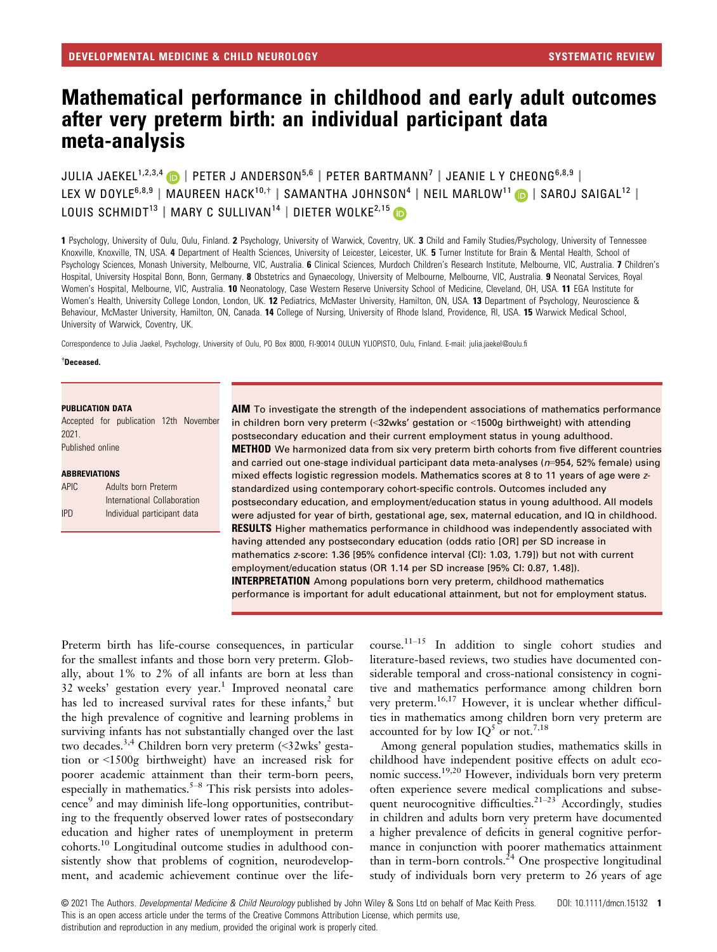# Mathematical performance in childhood and early adult outcomes after very preterm birth: an individual participant data meta-analysis

JULIA JAEKEL<sup>1,2,3,4</sup> D | PETER J ANDERSON<sup>5,6</sup> | PETER BARTMANN<sup>7</sup> | JEANIE L Y CHEONG<sup>6,8,9</sup> | LEX W DOYLE<sup>6,8,9</sup> | MAUREEN HACK<sup>10,†</sup> | SAMANTHA JOHNSON<sup>4</sup> | NEIL MARLOW<sup>11</sup> | SAROJ SAIGAL<sup>12</sup> | LOUIS SCHMIDT<sup>13</sup> | MARY C SULLIVAN<sup>14</sup> | DIETER WOLKE<sup>2,15</sup>

1 Psychology, University of Oulu, Oulu, Finland. 2 Psychology, University of Warwick, Coventry, UK. 3 Child and Family Studies/Psychology, University of Tennessee Knoxville, Knoxville, TN, USA. 4 Department of Health Sciences, University of Leicester, Leicester, UK. 5 Turner Institute for Brain & Mental Health, School of Psychology Sciences, Monash University, Melbourne, VIC, Australia. 6 Clinical Sciences, Murdoch Children's Research Institute, Melbourne, VIC, Australia. 7 Children's Hospital, University Hospital Bonn, Bonn, Germany. 8 Obstetrics and Gynaecology, University of Melbourne, Melbourne, VIC, Australia. 9 Neonatal Services, Royal Women's Hospital, Melbourne, VIC, Australia. 10 Neonatology, Case Western Reserve University School of Medicine, Cleveland, OH, USA. 11 EGA Institute for Women's Health, University College London, London, UK. 12 Pediatrics, McMaster University, Hamilton, ON, USA. 13 Department of Psychology, Neuroscience & Behaviour, McMaster University, Hamilton, ON, Canada. 14 College of Nursing, University of Rhode Island, Providence, RI, USA. 15 Warwick Medical School, University of Warwick, Coventry, UK.

Correspondence to Julia Jaekel, Psychology, University of Oulu, PO Box 8000, FI-90014 OULUN YLIOPISTO, Oulu, Finland. E-mail: [julia.jaekel@oulu.fi](mailto:)

#### † Deceased.

#### PUBLICATION DATA

Accepted for publication 12th November 2021. Published online

#### **ABBREVIATIONS**

| APIC. | Adults born Preterm         |
|-------|-----------------------------|
|       | International Collaboration |
| IPD   | Individual participant data |

AIM To investigate the strength of the independent associations of mathematics performance in children born very preterm (<32wks' gestation or <1500g birthweight) with attending postsecondary education and their current employment status in young adulthood. **METHOD** We harmonized data from six very preterm birth cohorts from five different countries and carried out one-stage individual participant data meta-analyses (n=954, 52% female) using mixed effects logistic regression models. Mathematics scores at 8 to 11 years of age were zstandardized using contemporary cohort-specific controls. Outcomes included any postsecondary education, and employment/education status in young adulthood. All models were adjusted for year of birth, gestational age, sex, maternal education, and IQ in childhood. **RESULTS** Higher mathematics performance in childhood was independently associated with having attended any postsecondary education (odds ratio [OR] per SD increase in mathematics z-score: 1.36 [95% confidence interval {CI}: 1.03, 1.79]) but not with current employment/education status (OR 1.14 per SD increase [95% CI: 0.87, 1.48]). INTERPRETATION Among populations born very preterm, childhood mathematics performance is important for adult educational attainment, but not for employment status.

Preterm birth has life-course consequences, in particular for the smallest infants and those born very preterm. Globally, about 1% to 2% of all infants are born at less than  $32$  weeks' gestation every year.<sup>1</sup> Improved neonatal care has led to increased survival rates for these infants,<sup>2</sup> but the high prevalence of cognitive and learning problems in surviving infants has not substantially changed over the last two decades.<sup>3,4</sup> Children born very preterm (<32wks' gestation or <1500g birthweight) have an increased risk for poorer academic attainment than their term-born peers, especially in mathematics.<sup>5–8</sup> This risk persists into adolescence<sup>9</sup> and may diminish life-long opportunities, contributing to the frequently observed lower rates of postsecondary education and higher rates of unemployment in preterm cohorts.<sup>10</sup> Longitudinal outcome studies in adulthood consistently show that problems of cognition, neurodevelopment, and academic achievement continue over the lifecourse.11–<sup>15</sup> In addition to single cohort studies and literature-based reviews, two studies have documented considerable temporal and cross-national consistency in cognitive and mathematics performance among children born very preterm.16,17 However, it is unclear whether difficulties in mathematics among children born very preterm are accounted for by low  $IQ^5$  or not.<sup>7,18</sup>

Among general population studies, mathematics skills in childhood have independent positive effects on adult economic success.19,20 However, individuals born very preterm often experience severe medical complications and subsequent neurocognitive difficulties.<sup>21–23</sup> Accordingly, studies in children and adults born very preterm have documented a higher prevalence of deficits in general cognitive performance in conjunction with poorer mathematics attainment than in term-born controls.<sup>24</sup> One prospective longitudinal study of individuals born very preterm to 26 years of age

© 2021 The Authors. Developmental Medicine & Child Neurology published by John Wiley & Sons Ltd on behalf of Mac Keith Press. DOI: 10.1111/dmcn.15132 1 This is an open access article under the terms of the Creative Commons Attribution License, which permits use,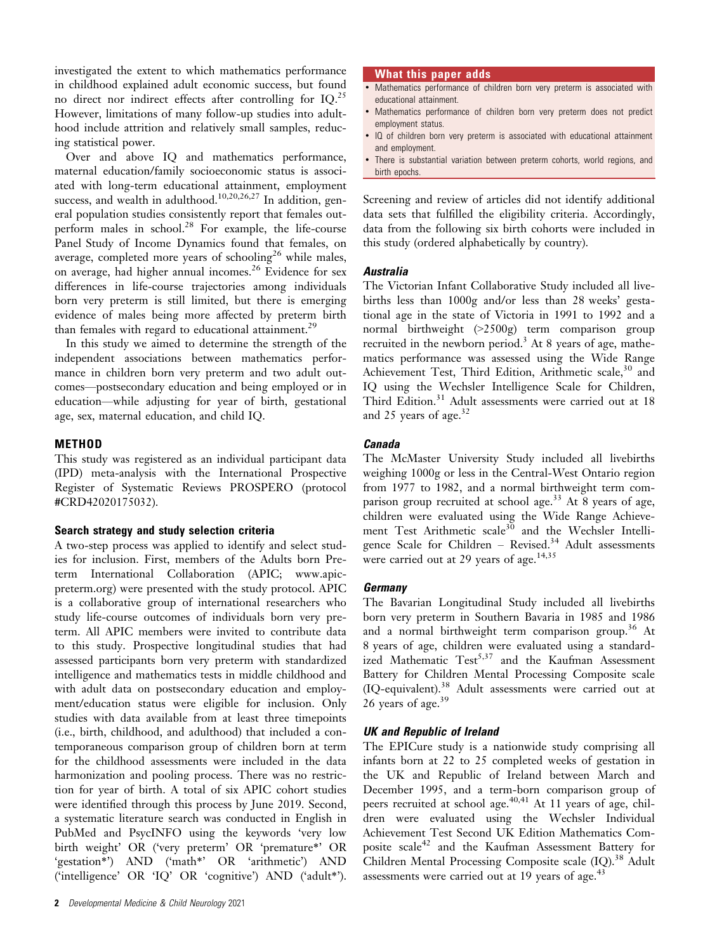investigated the extent to which mathematics performance in childhood explained adult economic success, but found no direct nor indirect effects after controlling for IQ.25 However, limitations of many follow-up studies into adulthood include attrition and relatively small samples, reducing statistical power.

Over and above IQ and mathematics performance, maternal education/family socioeconomic status is associated with long-term educational attainment, employment success, and wealth in adulthood.<sup>10,20,26,27</sup> In addition, general population studies consistently report that females outperform males in school.28 For example, the life-course Panel Study of Income Dynamics found that females, on average, completed more years of schooling<sup>26</sup> while males, on average, had higher annual incomes.<sup>26</sup> Evidence for sex differences in life-course trajectories among individuals born very preterm is still limited, but there is emerging evidence of males being more affected by preterm birth than females with regard to educational attainment.<sup>29</sup>

In this study we aimed to determine the strength of the independent associations between mathematics performance in children born very preterm and two adult outcomes—postsecondary education and being employed or in education—while adjusting for year of birth, gestational age, sex, maternal education, and child IQ.

## **METHOD**

This study was registered as an individual participant data (IPD) meta-analysis with the International Prospective Register of Systematic Reviews PROSPERO (protocol #CRD42020175032).

#### Search strategy and study selection criteria

A two-step process was applied to identify and select studies for inclusion. First, members of the Adults born Preterm International Collaboration (APIC; [www.apic](http://www.apic-preterm.org)[preterm.org\)](http://www.apic-preterm.org) were presented with the study protocol. APIC is a collaborative group of international researchers who study life-course outcomes of individuals born very preterm. All APIC members were invited to contribute data to this study. Prospective longitudinal studies that had assessed participants born very preterm with standardized intelligence and mathematics tests in middle childhood and with adult data on postsecondary education and employment/education status were eligible for inclusion. Only studies with data available from at least three timepoints (i.e., birth, childhood, and adulthood) that included a contemporaneous comparison group of children born at term for the childhood assessments were included in the data harmonization and pooling process. There was no restriction for year of birth. A total of six APIC cohort studies were identified through this process by June 2019. Second, a systematic literature search was conducted in English in PubMed and PsycINFO using the keywords 'very low birth weight' OR ('very preterm' OR 'premature\*' OR 'gestation\*') AND ('math\*' OR 'arithmetic') AND ('intelligence' OR 'IQ' OR 'cognitive') AND ('adult\*').

#### What this paper adds

- Mathematics performance of children born very preterm is associated with educational attainment.
- Mathematics performance of children born very preterm does not predict employment status.
- IQ of children born very preterm is associated with educational attainment and employment.
- There is substantial variation between preterm cohorts, world regions, and birth epochs.

Screening and review of articles did not identify additional data sets that fulfilled the eligibility criteria. Accordingly, data from the following six birth cohorts were included in this study (ordered alphabetically by country).

#### **Australia**

The Victorian Infant Collaborative Study included all livebirths less than 1000g and/or less than 28 weeks' gestational age in the state of Victoria in 1991 to 1992 and a normal birthweight (>2500g) term comparison group recruited in the newborn period.<sup>3</sup> At 8 years of age, mathematics performance was assessed using the Wide Range Achievement Test, Third Edition, Arithmetic scale,<sup>30</sup> and IQ using the Wechsler Intelligence Scale for Children, Third Edition.<sup>31</sup> Adult assessments were carried out at 18 and 25 years of age.<sup>32</sup>

## Canada

The McMaster University Study included all livebirths weighing 1000g or less in the Central-West Ontario region from 1977 to 1982, and a normal birthweight term comparison group recruited at school age.<sup>33</sup> At 8 years of age, children were evaluated using the Wide Range Achievement Test Arithmetic scale<sup>30</sup> and the Wechsler Intelligence Scale for Children – Revised.<sup>34</sup> Adult assessments were carried out at 29 years of age.<sup>14,35</sup>

## **Germany**

The Bavarian Longitudinal Study included all livebirths born very preterm in Southern Bavaria in 1985 and 1986 and a normal birthweight term comparison group.<sup>36</sup> At 8 years of age, children were evaluated using a standardized Mathematic Test<sup>5,37</sup> and the Kaufman Assessment Battery for Children Mental Processing Composite scale (IQ-equivalent).<sup>38</sup> Adult assessments were carried out at 26 years of age.<sup>39</sup>

## UK and Republic of Ireland

The EPICure study is a nationwide study comprising all infants born at 22 to 25 completed weeks of gestation in the UK and Republic of Ireland between March and December 1995, and a term-born comparison group of peers recruited at school age.<sup>40,41</sup> At 11 years of age, children were evaluated using the Wechsler Individual Achievement Test Second UK Edition Mathematics Composite scale<sup>42</sup> and the Kaufman Assessment Battery for Children Mental Processing Composite scale (IQ).<sup>38</sup> Adult assessments were carried out at  $19$  years of age.<sup>43</sup>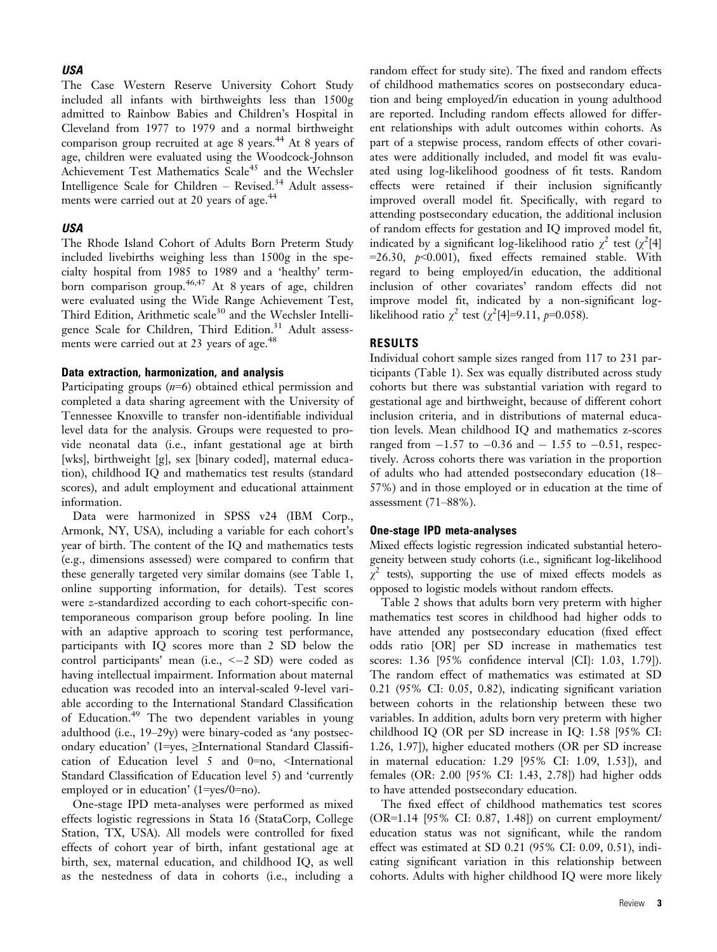#### USA

The Case Western Reserve University Cohort Study included all infants with birthweights less than 1500g admitted to Rainbow Babies and Children's Hospital in Cleveland from 1977 to 1979 and a normal birthweight comparison group recruited at age 8 years.<sup>44</sup> At 8 years of age, children were evaluated using the Woodcock-Johnson Achievement Test Mathematics  $Scale^{45}$  and the Wechsler Intelligence Scale for Children – Revised.<sup>34</sup> Adult assessments were carried out at 20 years of age.<sup>44</sup>

#### USA

The Rhode Island Cohort of Adults Born Preterm Study included livebirths weighing less than 1500g in the specialty hospital from 1985 to 1989 and a 'healthy' termborn comparison group.<sup>46,47</sup> At 8 years of age, children were evaluated using the Wide Range Achievement Test, Third Edition, Arithmetic scale<sup>30</sup> and the Wechsler Intelligence Scale for Children, Third Edition.<sup>31</sup> Adult assessments were carried out at 23 years of age.<sup>48</sup>

#### Data extraction, harmonization, and analysis

Participating groups  $(n=6)$  obtained ethical permission and completed a data sharing agreement with the University of Tennessee Knoxville to transfer non-identifiable individual level data for the analysis. Groups were requested to provide neonatal data (i.e., infant gestational age at birth [wks], birthweight [g], sex [binary coded], maternal education), childhood IQ and mathematics test results (standard scores), and adult employment and educational attainment information.

Data were harmonized in SPSS v24 (IBM Corp., Armonk, NY, USA), including a variable for each cohort's year of birth. The content of the IQ and mathematics tests (e.g., dimensions assessed) were compared to confirm that these generally targeted very similar domains (see Table 1, online supporting information, for details). Test scores were z-standardized according to each cohort-specific contemporaneous comparison group before pooling. In line with an adaptive approach to scoring test performance, participants with IQ scores more than 2 SD below the control participants' mean (i.e.,  $<-2$  SD) were coded as having intellectual impairment. Information about maternal education was recoded into an interval-scaled 9-level variable according to the International Standard Classification of Education.<sup>49</sup> The two dependent variables in young adulthood (i.e., 19–29y) were binary-coded as 'any postsecondary education' (1=yes, ≥International Standard Classification of Education level 5 and 0=no, <International Standard Classification of Education level 5) and 'currently employed or in education' (1=yes/0=no).

One-stage IPD meta-analyses were performed as mixed effects logistic regressions in Stata 16 (StataCorp, College Station, TX, USA). All models were controlled for fixed effects of cohort year of birth, infant gestational age at birth, sex, maternal education, and childhood IQ, as well as the nestedness of data in cohorts (i.e., including a

random effect for study site). The fixed and random effects of childhood mathematics scores on postsecondary education and being employed/in education in young adulthood are reported. Including random effects allowed for different relationships with adult outcomes within cohorts. As part of a stepwise process, random effects of other covariates were additionally included, and model fit was evaluated using log-likelihood goodness of fit tests. Random effects were retained if their inclusion significantly improved overall model fit. Specifically, with regard to attending postsecondary education, the additional inclusion of random effects for gestation and IQ improved model fit, indicated by a significant log-likelihood ratio  $\chi^2$  test ( $\chi^2$ [4] =26.30,  $p$ <0.001), fixed effects remained stable. With regard to being employed/in education, the additional inclusion of other covariates' random effects did not improve model fit, indicated by a non-significant loglikelihood ratio  $\chi^2$  test ( $\chi^2$ [4]=9.11, p=0.058).

#### RESULTS

Individual cohort sample sizes ranged from 117 to 231 participants (Table 1). Sex was equally distributed across study cohorts but there was substantial variation with regard to gestational age and birthweight, because of different cohort inclusion criteria, and in distributions of maternal education levels. Mean childhood IQ and mathematics z-scores ranged from  $-1.57$  to  $-0.36$  and  $-1.55$  to  $-0.51$ , respectively. Across cohorts there was variation in the proportion of adults who had attended postsecondary education (18– 57%) and in those employed or in education at the time of assessment (71–88%).

#### One-stage IPD meta-analyses

Mixed effects logistic regression indicated substantial heterogeneity between study cohorts (i.e., significant log-likelihood  $\chi^2$  tests), supporting the use of mixed effects models as opposed to logistic models without random effects.

Table 2 shows that adults born very preterm with higher mathematics test scores in childhood had higher odds to have attended any postsecondary education (fixed effect odds ratio [OR] per SD increase in mathematics test scores: 1.36 [95% confidence interval {CI}: 1.03, 1.79]). The random effect of mathematics was estimated at SD 0.21 (95% CI: 0.05, 0.82), indicating significant variation between cohorts in the relationship between these two variables. In addition, adults born very preterm with higher childhood IQ (OR per SD increase in IQ: 1.58 [95% CI: 1.26, 1.97]), higher educated mothers (OR per SD increase in maternal education: 1.29 [95% CI: 1.09, 1.53]), and females (OR: 2.00 [95% CI: 1.43, 2.78]) had higher odds to have attended postsecondary education.

The fixed effect of childhood mathematics test scores (OR=1.14 [95% CI: 0.87, 1.48]) on current employment/ education status was not significant, while the random effect was estimated at SD 0.21 (95% CI: 0.09, 0.51), indicating significant variation in this relationship between cohorts. Adults with higher childhood IQ were more likely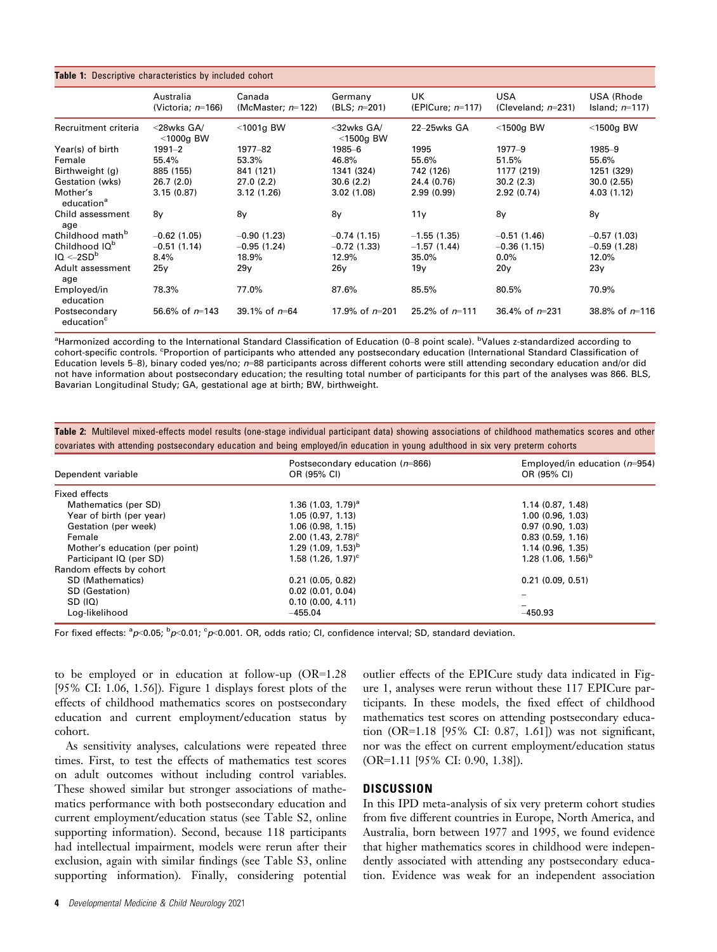| <b>Table 1:</b> Descriptive characteristics by included cohort |                                   |                                |                            |                            |                                     |                                 |  |  |
|----------------------------------------------------------------|-----------------------------------|--------------------------------|----------------------------|----------------------------|-------------------------------------|---------------------------------|--|--|
|                                                                | Australia<br>(Victoria; $n=166$ ) | Canada<br>(McMaster; $n=122$ ) | Germany<br>(BLS; $n=201$ ) | UK.<br>(EPICure; $n=117$ ) | <b>USA</b><br>(Cleveland; $n=231$ ) | USA (Rhode<br>Island; $n=117$ ) |  |  |
| Recruitment criteria                                           | <28wks GA/<br>$<$ 1000g BW        | $<$ 1001g BW                   | <32wks GA/<br>$<$ 1500g BW | $22 - 25$ wks $GA$         | $<$ 1500g BW                        | $<$ 1500g BW                    |  |  |
| Year(s) of birth                                               | $1991 - 2$                        | 1977-82                        | 1985-6                     | 1995                       | $1977 - 9$                          | 1985-9                          |  |  |
| Female                                                         | 55.4%                             | 53.3%                          | 46.8%                      | 55.6%                      | 51.5%                               | 55.6%                           |  |  |
| Birthweight (g)                                                | 885 (155)                         | 841 (121)                      | 1341 (324)                 | 742 (126)                  | 1177 (219)                          | 1251 (329)                      |  |  |
| Gestation (wks)                                                | 26.7(2.0)                         | 27.0(2.2)                      | 30.6(2.2)                  | 24.4 (0.76)                | 30.2(2.3)                           | 30.0(2.55)                      |  |  |
| Mother's<br>education <sup>a</sup>                             | 3.15(0.87)                        | 3.12(1.26)                     | 3.02(1.08)                 | 2.99(0.99)                 | 2.92(0.74)                          | 4.03(1.12)                      |  |  |
| Child assessment<br>age                                        | 8y                                | 8y                             | 8y                         | 11y                        | 8y                                  | 8y                              |  |  |
| Childhood math <sup>b</sup>                                    | $-0.62$ (1.05)                    | $-0.90(1.23)$                  | $-0.74(1.15)$              | $-1.55(1.35)$              | $-0.51(1.46)$                       | $-0.57(1.03)$                   |  |  |
| Childhood IQ <sup>b</sup>                                      | $-0.51(1.14)$                     | $-0.95(1.24)$                  | $-0.72$ (1.33)             | $-1.57(1.44)$              | $-0.36(1.15)$                       | $-0.59(1.28)$                   |  |  |
| $IO < -2SDb$                                                   | 8.4%                              | 18.9%                          | 12.9%                      | 35.0%                      | $0.0\%$                             | 12.0%                           |  |  |
| Adult assessment<br>age                                        | 25 <sub>y</sub>                   | 29y                            | 26y                        | 19y                        | 20y                                 | 23y                             |  |  |
| Employed/in<br>education                                       | 78.3%                             | 77.0%                          | 87.6%                      | 85.5%                      | 80.5%                               | 70.9%                           |  |  |
| Postsecondary<br>education <sup>c</sup>                        | 56.6% of $n=143$                  | 39.1% of $n=64$                | 17.9% of $n=201$           | 25.2% of $n=111$           | 36.4% of $n=231$                    | 38.8% of $n=116$                |  |  |

<sup>a</sup>Harmonized according to the International Standard Classification of Education (0–8 point scale). <sup>b</sup>Values z-standardized according to cohort-specific controls. <sup>c</sup>Proportion of participants who attended any postsecondary education (International Standard Classification of Education levels 5–8), binary coded yes/no;  $n=88$  participants across different cohorts were still attending secondary education and/or did not have information about postsecondary education; the resulting total number of participants for this part of the analyses was 866. BLS, Bavarian Longitudinal Study; GA, gestational age at birth; BW, birthweight.

Table 2: Multilevel mixed-effects model results (one-stage individual participant data) showing associations of childhood mathematics scores and other covariates with attending postsecondary education and being employed/in education in young adulthood in six very preterm cohorts

| Dependent variable             | Postsecondary education $(n=866)$<br>OR (95% CI) | Employed/in education $(n=954)$<br>OR (95% CI) |  |
|--------------------------------|--------------------------------------------------|------------------------------------------------|--|
| Fixed effects                  |                                                  |                                                |  |
| Mathematics (per SD)           | 1.36 $(1.03, 1.79)^a$                            | 1.14(0.87, 1.48)                               |  |
| Year of birth (per year)       | 1.05(0.97, 1.13)                                 | 1.00(0.96, 1.03)                               |  |
| Gestation (per week)           | 1.06(0.98, 1.15)                                 | 0.97(0.90, 1.03)                               |  |
| Female                         | $2.00(1.43, 2.78)^c$                             | 0.83(0.59, 1.16)                               |  |
| Mother's education (per point) | 1.29 $(1.09, 1.53)^{b}$                          | 1.14(0.96, 1.35)                               |  |
| Participant IQ (per SD)        | $1.58(1.26, 1.97)^c$                             | 1.28 $(1.06, 1.56)^{b}$                        |  |
| Random effects by cohort       |                                                  |                                                |  |
| SD (Mathematics)               | 0.21(0.05, 0.82)                                 | 0.21(0.09, 0.51)                               |  |
| SD (Gestation)                 | $0.02$ (0.01, 0.04)                              |                                                |  |
| SD (IQ)                        | 0.10(0.00, 4.11)                                 |                                                |  |
| Log-likelihood                 | $-455.04$                                        | $-450.93$                                      |  |

For fixed effects: <sup>a</sup>p<0.05; <sup>b</sup>p<0.01; <sup>c</sup>p<0.001. OR, odds ratio; CI, confidence interval; SD, standard deviation.

to be employed or in education at follow-up (OR=1.28 [95% CI: 1.06, 1.56]). Figure 1 displays forest plots of the effects of childhood mathematics scores on postsecondary education and current employment/education status by cohort.

As sensitivity analyses, calculations were repeated three times. First, to test the effects of mathematics test scores on adult outcomes without including control variables. These showed similar but stronger associations of mathematics performance with both postsecondary education and current employment/education status (see Table S2, online supporting information). Second, because 118 participants had intellectual impairment, models were rerun after their exclusion, again with similar findings (see Table S3, online supporting information). Finally, considering potential outlier effects of the EPICure study data indicated in Figure 1, analyses were rerun without these 117 EPICure participants. In these models, the fixed effect of childhood mathematics test scores on attending postsecondary education (OR=1.18 [95% CI: 0.87, 1.61]) was not significant, nor was the effect on current employment/education status (OR=1.11 [95% CI: 0.90, 1.38]).

## **DISCUSSION**

In this IPD meta-analysis of six very preterm cohort studies from five different countries in Europe, North America, and Australia, born between 1977 and 1995, we found evidence that higher mathematics scores in childhood were independently associated with attending any postsecondary education. Evidence was weak for an independent association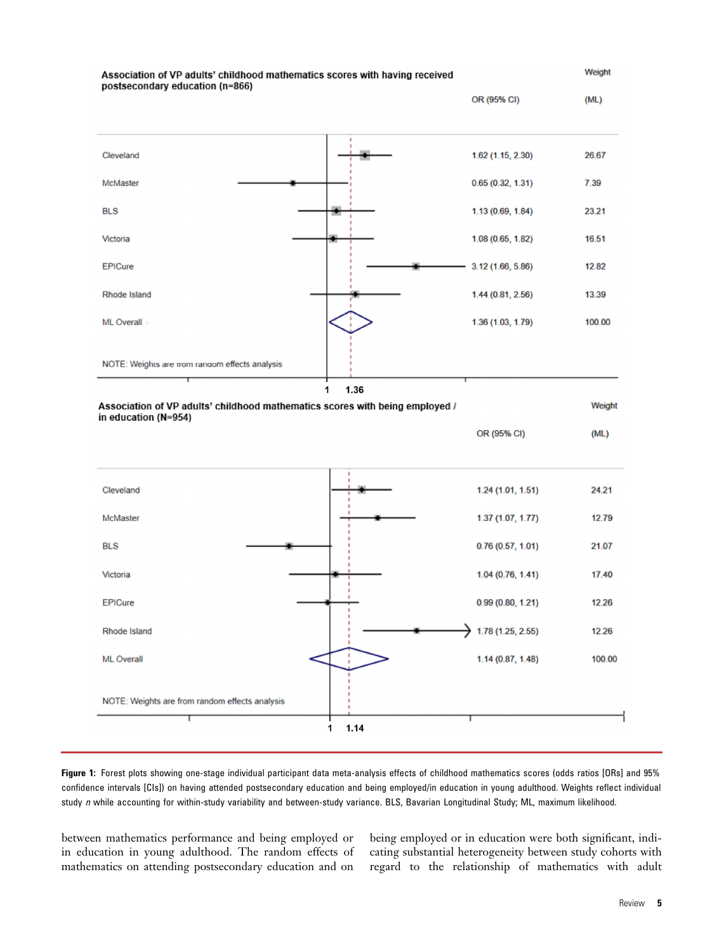

Figure 1: Forest plots showing one-stage individual participant data meta-analysis effects of childhood mathematics scores (odds ratios [ORs] and 95% confidence intervals [CIs]) on having attended postsecondary education and being employed/in education in young adulthood. Weights reflect individual study n while accounting for within-study variability and between-study variance. BLS, Bavarian Longitudinal Study; ML, maximum likelihood.

between mathematics performance and being employed or in education in young adulthood. The random effects of mathematics on attending postsecondary education and on being employed or in education were both significant, indicating substantial heterogeneity between study cohorts with regard to the relationship of mathematics with adult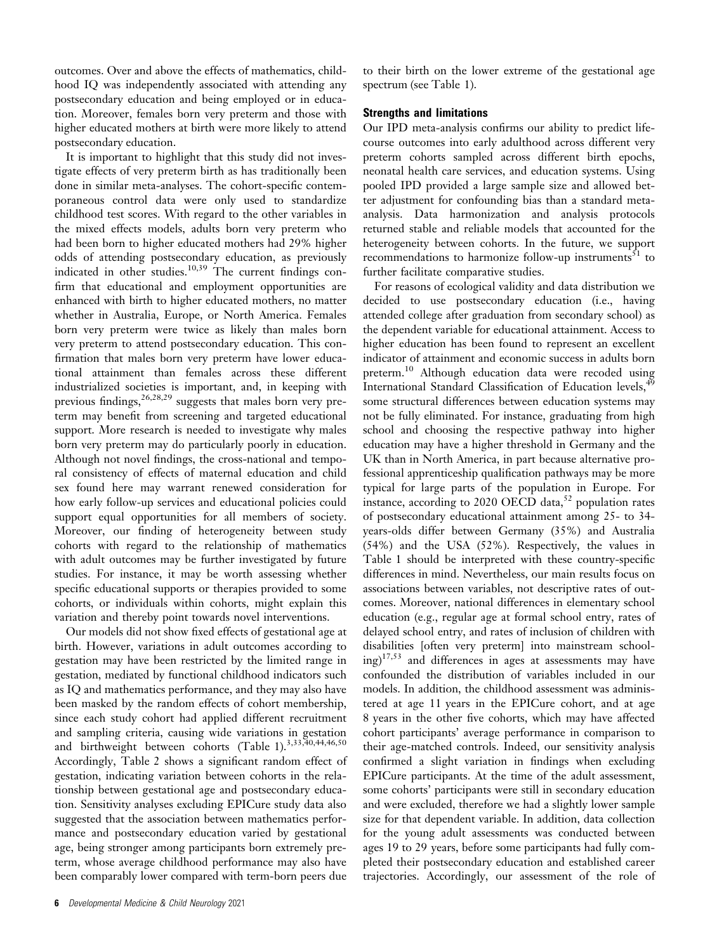outcomes. Over and above the effects of mathematics, childhood IQ was independently associated with attending any postsecondary education and being employed or in education. Moreover, females born very preterm and those with higher educated mothers at birth were more likely to attend postsecondary education.

It is important to highlight that this study did not investigate effects of very preterm birth as has traditionally been done in similar meta-analyses. The cohort-specific contemporaneous control data were only used to standardize childhood test scores. With regard to the other variables in the mixed effects models, adults born very preterm who had been born to higher educated mothers had 29% higher odds of attending postsecondary education, as previously indicated in other studies.<sup>10,39</sup> The current findings confirm that educational and employment opportunities are enhanced with birth to higher educated mothers, no matter whether in Australia, Europe, or North America. Females born very preterm were twice as likely than males born very preterm to attend postsecondary education. This confirmation that males born very preterm have lower educational attainment than females across these different industrialized societies is important, and, in keeping with previous findings,  $26,28,29$  suggests that males born very preterm may benefit from screening and targeted educational support. More research is needed to investigate why males born very preterm may do particularly poorly in education. Although not novel findings, the cross-national and temporal consistency of effects of maternal education and child sex found here may warrant renewed consideration for how early follow-up services and educational policies could support equal opportunities for all members of society. Moreover, our finding of heterogeneity between study cohorts with regard to the relationship of mathematics with adult outcomes may be further investigated by future studies. For instance, it may be worth assessing whether specific educational supports or therapies provided to some cohorts, or individuals within cohorts, might explain this variation and thereby point towards novel interventions.

Our models did not show fixed effects of gestational age at birth. However, variations in adult outcomes according to gestation may have been restricted by the limited range in gestation, mediated by functional childhood indicators such as IQ and mathematics performance, and they may also have been masked by the random effects of cohort membership, since each study cohort had applied different recruitment and sampling criteria, causing wide variations in gestation and birthweight between cohorts (Table 1).<sup>3,33,40,44,46,50</sup> Accordingly, Table 2 shows a significant random effect of gestation, indicating variation between cohorts in the relationship between gestational age and postsecondary education. Sensitivity analyses excluding EPICure study data also suggested that the association between mathematics performance and postsecondary education varied by gestational age, being stronger among participants born extremely preterm, whose average childhood performance may also have been comparably lower compared with term-born peers due

to their birth on the lower extreme of the gestational age spectrum (see Table 1).

#### Strengths and limitations

Our IPD meta-analysis confirms our ability to predict lifecourse outcomes into early adulthood across different very preterm cohorts sampled across different birth epochs, neonatal health care services, and education systems. Using pooled IPD provided a large sample size and allowed better adjustment for confounding bias than a standard metaanalysis. Data harmonization and analysis protocols returned stable and reliable models that accounted for the heterogeneity between cohorts. In the future, we support recommendations to harmonize follow-up instruments<sup>51</sup> to further facilitate comparative studies.

For reasons of ecological validity and data distribution we decided to use postsecondary education (i.e., having attended college after graduation from secondary school) as the dependent variable for educational attainment. Access to higher education has been found to represent an excellent indicator of attainment and economic success in adults born preterm.<sup>10</sup> Although education data were recoded using International Standard Classification of Education levels,<sup>49</sup> some structural differences between education systems may not be fully eliminated. For instance, graduating from high school and choosing the respective pathway into higher education may have a higher threshold in Germany and the UK than in North America, in part because alternative professional apprenticeship qualification pathways may be more typical for large parts of the population in Europe. For instance, according to 2020 OECD data,<sup>52</sup> population rates of postsecondary educational attainment among 25- to 34 years-olds differ between Germany (35%) and Australia (54%) and the USA (52%). Respectively, the values in Table 1 should be interpreted with these country-specific differences in mind. Nevertheless, our main results focus on associations between variables, not descriptive rates of outcomes. Moreover, national differences in elementary school education (e.g., regular age at formal school entry, rates of delayed school entry, and rates of inclusion of children with disabilities [often very preterm] into mainstream schooling)17,53 and differences in ages at assessments may have confounded the distribution of variables included in our models. In addition, the childhood assessment was administered at age 11 years in the EPICure cohort, and at age 8 years in the other five cohorts, which may have affected cohort participants' average performance in comparison to their age-matched controls. Indeed, our sensitivity analysis confirmed a slight variation in findings when excluding EPICure participants. At the time of the adult assessment, some cohorts' participants were still in secondary education and were excluded, therefore we had a slightly lower sample size for that dependent variable. In addition, data collection for the young adult assessments was conducted between ages 19 to 29 years, before some participants had fully completed their postsecondary education and established career trajectories. Accordingly, our assessment of the role of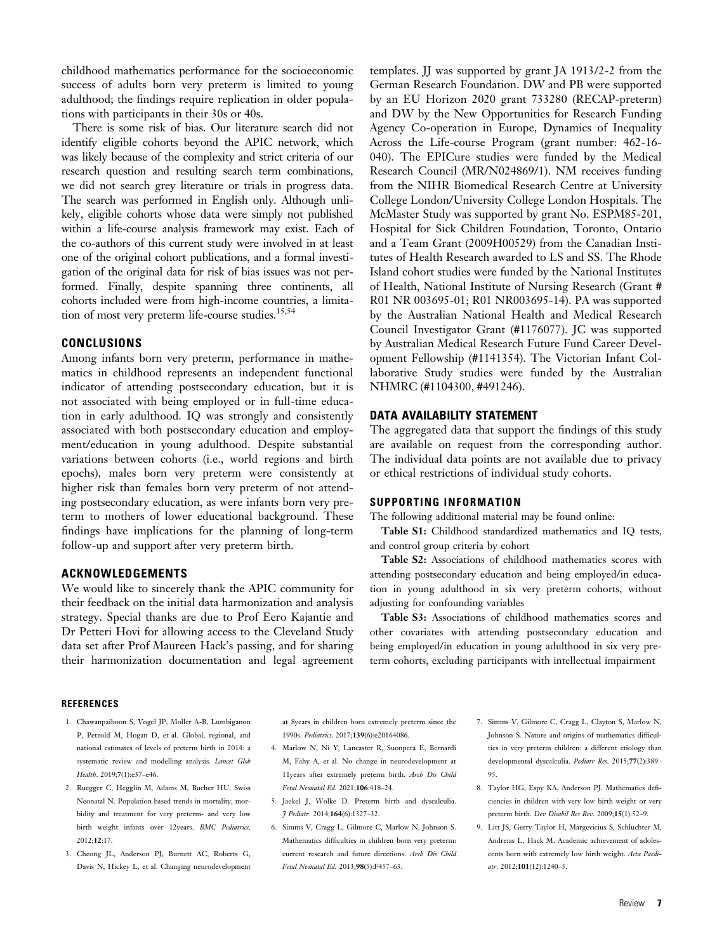childhood mathematics performance for the socioeconomic success of adults born very preterm is limited to young adulthood; the findings require replication in older populations with participants in their 30s or 40s.

There is some risk of bias. Our literature search did not identify eligible cohorts beyond the APIC network, which was likely because of the complexity and strict criteria of our research question and resulting search term combinations, we did not search grey literature or trials in progress data. The search was performed in English only. Although unlikely, eligible cohorts whose data were simply not published within a life-course analysis framework may exist. Each of the co-authors of this current study were involved in at least one of the original cohort publications, and a formal investigation of the original data for risk of bias issues was not performed. Finally, despite spanning three continents, all cohorts included were from high-income countries, a limitation of most very preterm life-course studies.<sup>15,54</sup>

# **CONCLUSIONS**

Among infants born very preterm, performance in mathematics in childhood represents an independent functional indicator of attending postsecondary education, but it is not associated with being employed or in full-time education in early adulthood. IQ was strongly and consistently associated with both postsecondary education and employment/education in young adulthood. Despite substantial variations between cohorts (i.e., world regions and birth epochs), males born very preterm were consistently at higher risk than females born very preterm of not attending postsecondary education, as were infants born very preterm to mothers of lower educational background. These findings have implications for the planning of long-term follow-up and support after very preterm birth.

## ACKNOWLEDGEMENTS

We would like to sincerely thank the APIC community for their feedback on the initial data harmonization and analysis strategy. Special thanks are due to Prof Eero Kajantie and Dr Petteri Hovi for allowing access to the Cleveland Study data set after Prof Maureen Hack's passing, and for sharing their harmonization documentation and legal agreement

templates. JJ was supported by grant JA 1913/2-2 from the German Research Foundation. DW and PB were supported by an EU Horizon 2020 grant 733280 (RECAP-preterm) and DW by the New Opportunities for Research Funding Agency Co-operation in Europe, Dynamics of Inequality Across the Life-course Program (grant number: 462-16- 040). The EPICure studies were funded by the Medical Research Council (MR/N024869/1). NM receives funding from the NIHR Biomedical Research Centre at University College London/University College London Hospitals. The McMaster Study was supported by grant No. ESPM85-201, Hospital for Sick Children Foundation, Toronto, Ontario and a Team Grant (2009H00529) from the Canadian Institutes of Health Research awarded to LS and SS. The Rhode Island cohort studies were funded by the National Institutes of Health, National Institute of Nursing Research (Grant # R01 NR 003695-01; R01 NR003695-14). PA was supported by the Australian National Health and Medical Research Council Investigator Grant (#1176077). JC was supported by Australian Medical Research Future Fund Career Development Fellowship (#1141354). The Victorian Infant Collaborative Study studies were funded by the Australian NHMRC (#1104300, #491246).

#### DATA AVAILABILITY STATEMENT

The aggregated data that support the findings of this study are available on request from the corresponding author. The individual data points are not available due to privacy or ethical restrictions of individual study cohorts.

#### SUPPORTING INFORMATION

The following additional material may be found online:

Table S1: Childhood standardized mathematics and IQ tests, and control group criteria by cohort

Table S2: Associations of childhood mathematics scores with attending postsecondary education and being employed/in education in young adulthood in six very preterm cohorts, without adjusting for confounding variables

Table S3: Associations of childhood mathematics scores and other covariates with attending postsecondary education and being employed/in education in young adulthood in six very preterm cohorts, excluding participants with intellectual impairment

#### **REFERENCES**

- 1. Chawanpaiboon S, Vogel JP, Moller A-B, Lumbiganon P, Petzold M, Hogan D, et al. Global, regional, and national estimates of levels of preterm birth in 2014: a systematic review and modelling analysis. Lancet Glob Health. 2019;7(1):e37–e46.
- 2. Ruegger C, Hegglin M, Adams M, Bucher HU, Swiss Neonatal N. Population based trends in mortality, morbidity and treatment for very preterm- and very low birth weight infants over 12years. BMC Pediatrics. 2012;12:17.
- 3. Cheong JL, Anderson PJ, Burnett AC, Roberts G, Davis N, Hickey L, et al. Changing neurodevelopment

at 8years in children born extremely preterm since the 1990s. Pediatrics. 2017;139(6):e20164086.

- 4. Marlow N, Ni Y, Lancaster R, Suonpera E, Bernardi M, Fahy A, et al. No change in neurodevelopment at 11years after extremely preterm birth. Arch Dis Child Fetal Neonatal Ed. 2021;106:418–24.
- 5. Jaekel J, Wolke D. Preterm birth and dyscalculia. J Pediatr. 2014;164(6):1327–32.
- 6. Simms V, Cragg L, Gilmore C, Marlow N, Johnson S. Mathematics difficulties in children born very preterm: current research and future directions. Arch Dis Child Fetal Neonatal Ed. 2013;98(5):F457–63.
- 7. Simms V, Gilmore C, Cragg L, Clayton S, Marlow N, Johnson S. Nature and origins of mathematics difficulties in very preterm children: a different etiology than developmental dyscalculia. Pediatr Res. 2015;77(2):389– 95.
- 8. Taylor HG, Espy KA, Anderson PJ. Mathematics deficiencies in children with very low birth weight or very preterm birth. Dev Disabil Res Rev. 2009;15(1):52–9.
- 9. Litt JS, Gerry Taylor H, Margevicius S, Schluchter M, Andreias L, Hack M. Academic achievement of adolescents born with extremely low birth weight. Acta Paedi $atr. 2012:101(12):1240-5.$